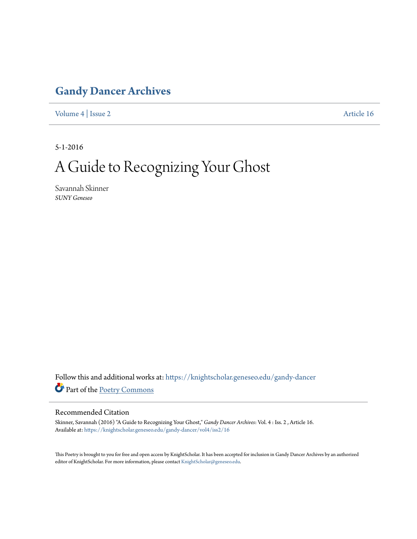## **[Gandy Dancer Archives](https://knightscholar.geneseo.edu/gandy-dancer?utm_source=knightscholar.geneseo.edu%2Fgandy-dancer%2Fvol4%2Fiss2%2F16&utm_medium=PDF&utm_campaign=PDFCoverPages)**

[Volume 4](https://knightscholar.geneseo.edu/gandy-dancer/vol4?utm_source=knightscholar.geneseo.edu%2Fgandy-dancer%2Fvol4%2Fiss2%2F16&utm_medium=PDF&utm_campaign=PDFCoverPages) | [Issue 2](https://knightscholar.geneseo.edu/gandy-dancer/vol4/iss2?utm_source=knightscholar.geneseo.edu%2Fgandy-dancer%2Fvol4%2Fiss2%2F16&utm_medium=PDF&utm_campaign=PDFCoverPages) [Article 16](https://knightscholar.geneseo.edu/gandy-dancer/vol4/iss2/16?utm_source=knightscholar.geneseo.edu%2Fgandy-dancer%2Fvol4%2Fiss2%2F16&utm_medium=PDF&utm_campaign=PDFCoverPages)

5-1-2016

## A Guide to Recognizing Your Ghost

Savannah Skinner *SUNY Geneseo*

Follow this and additional works at: [https://knightscholar.geneseo.edu/gandy-dancer](https://knightscholar.geneseo.edu/gandy-dancer?utm_source=knightscholar.geneseo.edu%2Fgandy-dancer%2Fvol4%2Fiss2%2F16&utm_medium=PDF&utm_campaign=PDFCoverPages) Part of the [Poetry Commons](http://network.bepress.com/hgg/discipline/1153?utm_source=knightscholar.geneseo.edu%2Fgandy-dancer%2Fvol4%2Fiss2%2F16&utm_medium=PDF&utm_campaign=PDFCoverPages)

## Recommended Citation

Skinner, Savannah (2016) "A Guide to Recognizing Your Ghost," *Gandy Dancer Archives*: Vol. 4 : Iss. 2 , Article 16. Available at: [https://knightscholar.geneseo.edu/gandy-dancer/vol4/iss2/16](https://knightscholar.geneseo.edu/gandy-dancer/vol4/iss2/16?utm_source=knightscholar.geneseo.edu%2Fgandy-dancer%2Fvol4%2Fiss2%2F16&utm_medium=PDF&utm_campaign=PDFCoverPages)

This Poetry is brought to you for free and open access by KnightScholar. It has been accepted for inclusion in Gandy Dancer Archives by an authorized editor of KnightScholar. For more information, please contact [KnightScholar@geneseo.edu.](mailto:KnightScholar@geneseo.edu)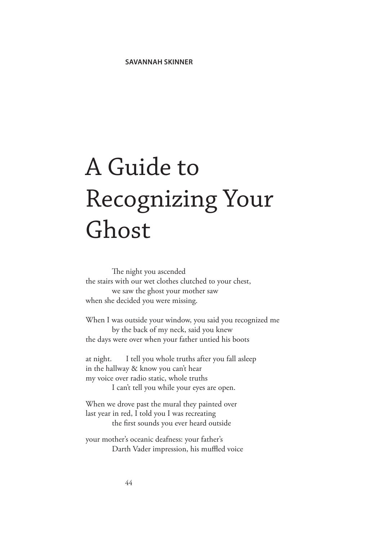## A Guide to Recognizing Your Ghost

The night you ascended the stairs with our wet clothes clutched to your chest, we saw the ghost your mother saw when she decided you were missing.

When I was outside your window, you said you recognized me by the back of my neck, said you knew the days were over when your father untied his boots

at night. I tell you whole truths after you fall asleep in the hallway & know you can't hear my voice over radio static, whole truths I can't tell you while your eyes are open.

When we drove past the mural they painted over last year in red, I told you I was recreating the first sounds you ever heard outside

your mother's oceanic deafness: your father's Darth Vader impression, his muffled voice